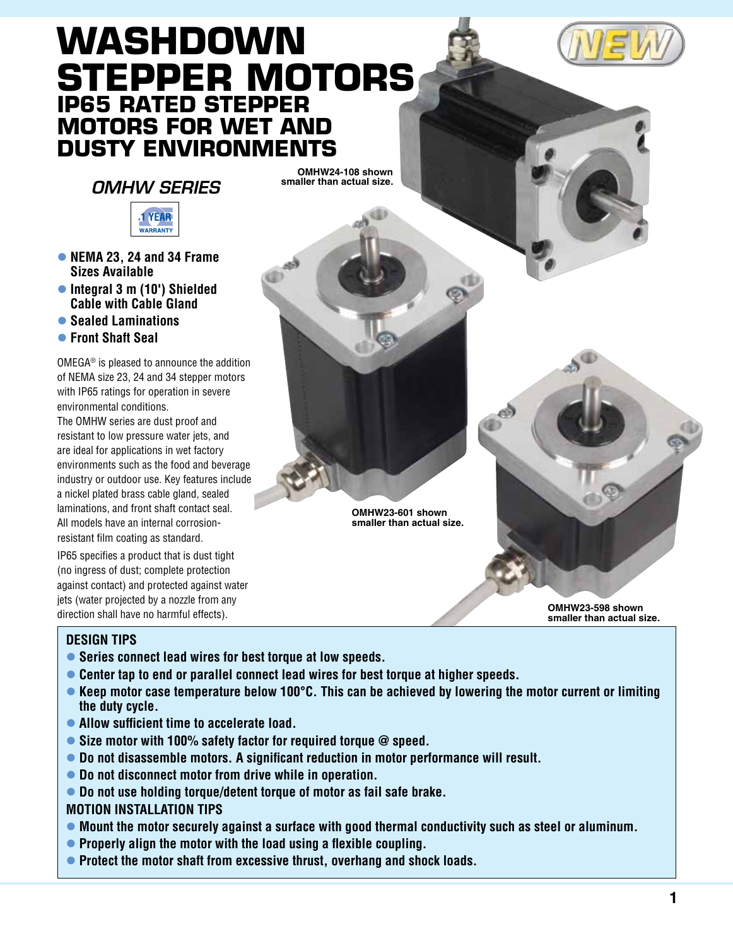# **WASHDOWN Stepper Motors IP65 Rated Stepper motors for Wet and Dusty Environments**

# *OMHW Series*

**OMHW24-108 shown smaller than actual size.**



- l **NEMA 23, 24 and 34 Frame Sizes Available**
- **Integral 3 m (10') Shielded Cable with Cable Gland**
- l **Sealed Laminations**
- l **Front Shaft Seal**

OMEGA® is pleased to announce the addition of NEMA size 23, 24 and 34 stepper motors with IP65 ratings for operation in severe environmental conditions.

The OMHW series are dust proof and resistant to low pressure water jets, and are ideal for applications in wet factory environments such as the food and beverage industry or outdoor use. Key features include a nickel plated brass cable gland, sealed laminations, and front shaft contact seal. All models have an internal corrosionresistant film coating as standard.

IP65 specifies a product that is dust tight (no ingress of dust; complete protection against contact) and protected against water jets (water projected by a nozzle from any direction shall have no harmful effects). **OMHW23-598 shown** 

## **DESIGN TIPS**

- **Series connect lead wires for best torque at low speeds.**
- **Center tap to end or parallel connect lead wires for best torque at higher speeds.**
- **Example 2 Keep motor case temperature below 100°C. This can be achieved by lowering the motor current or limiting the duty cycle.**

**OMHW23-601 shown smaller than actual size.**

- **Allow sufficient time to accelerate load.**
- **Size motor with 100% safety factor for required torque @ speed.**
- **Do not disassemble motors. A significant reduction in motor performance will result.**
- **Do not disconnect motor from drive while in operation.**
- **Do not use holding torque/detent torque of motor as fail safe brake.**

### **MOTION INSTALLATION TIPS**

- **Mount the motor securely against a surface with good thermal conductivity such as steel or aluminum.**
- **Properly align the motor with the load using a flexible coupling.**
- **Protect the motor shaft from excessive thrust, overhang and shock loads.**

**smaller than actual size.**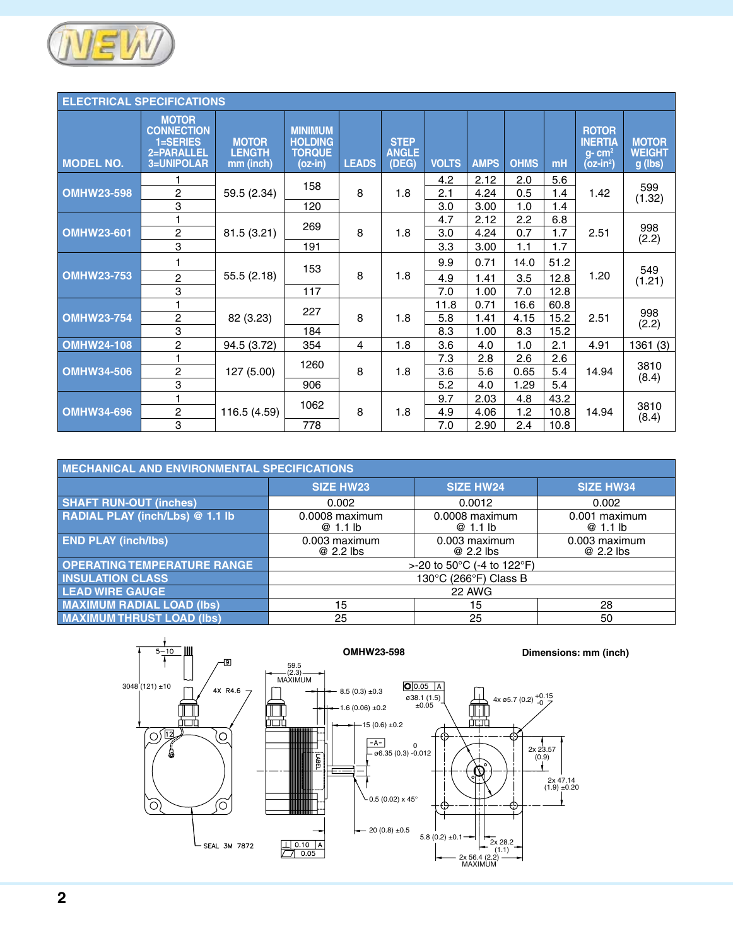

| <b>ELECTRICAL SPECIFICATIONS</b> |                                                                           |                                            |                                                              |              |                                      |              |             |                  |       |                                                                       |                                          |
|----------------------------------|---------------------------------------------------------------------------|--------------------------------------------|--------------------------------------------------------------|--------------|--------------------------------------|--------------|-------------|------------------|-------|-----------------------------------------------------------------------|------------------------------------------|
| <b>MODEL NO.</b>                 | <b>MOTOR</b><br><b>CONNECTION</b><br>1=SERIES<br>2=PARALLEL<br>3=UNIPOLAR | <b>MOTOR</b><br><b>LENGTH</b><br>mm (inch) | <b>MINIMUM</b><br><b>HOLDING</b><br><b>TORQUE</b><br>(oz-in) | <b>LEADS</b> | <b>STEP</b><br><b>ANGLE</b><br>(DEG) | <b>VOLTS</b> | <b>AMPS</b> | <b>OHMS</b>      | mH    | <b>ROTOR</b><br><b>INERTIA</b><br>$q$ - cm <sup>2</sup><br>$(oz-in2)$ | <b>MOTOR</b><br><b>WEIGHT</b><br>g (lbs) |
|                                  |                                                                           |                                            | 158                                                          |              |                                      | 4.2          | 2.12        | 2.0              | 5.6   |                                                                       | 599                                      |
| <b>OMHW23-598</b>                | 2                                                                         | 59.5 (2.34)                                |                                                              | 8            | 1.8                                  | 2.1          | 4.24        | 0.5              | 1.4   | 1.42                                                                  | (1.32)                                   |
|                                  | 3                                                                         |                                            | 120                                                          |              |                                      | 3.0          | 3.00        | 1.0              | 1.4   |                                                                       |                                          |
|                                  | 1                                                                         |                                            | 269                                                          |              |                                      | 4.7          | 2.12        | $2.2\phantom{0}$ | 6.8   |                                                                       | 998                                      |
| <b>OMHW23-601</b>                | $\sqrt{2}$                                                                | 81.5 (3.21)                                |                                                              | 8            | 1.8                                  | 3.0          | 4.24        | 0.7              | 1.7   | 2.51                                                                  | (2.2)                                    |
|                                  | 3                                                                         |                                            | 191                                                          |              |                                      | 3.3          | 3.00        | 1.1              | 1.7   |                                                                       |                                          |
|                                  | 1                                                                         |                                            | 153                                                          |              |                                      | 9.9          | 0.71        | 14.0             | 51.2  |                                                                       | 549                                      |
| <b>OMHW23-753</b>                | $\overline{c}$                                                            | 55.5(2.18)                                 |                                                              | 8            | 1.8                                  | 4.9          | 1.41        | 3.5              | 12.8  | 1.20                                                                  | (1.21)                                   |
|                                  | 3                                                                         |                                            | 117                                                          |              |                                      | 7.0          | 1.00        | 7.0              | 12.8  |                                                                       |                                          |
|                                  | 1                                                                         |                                            |                                                              |              |                                      | 11.8         | 0.71        | 16.6             | 60.8  |                                                                       |                                          |
| <b>OMHW23-754</b>                | 2                                                                         | 82 (3.23)                                  | 227                                                          | 8            | 1.8                                  | 5.8          | 1.41        | 4.15             | 15.2  | 2.51                                                                  | 998<br>(2.2)                             |
|                                  | 3                                                                         |                                            | 184                                                          |              |                                      | 8.3          | 1.00        | 8.3              | 15.2  |                                                                       |                                          |
| <b>OMHW24-108</b>                | 2                                                                         | 94.5 (3.72)                                | 354                                                          | 4            | 1.8                                  | 3.6          | 4.0         | 1.0              | 2.1   | 4.91                                                                  | 1361(3)                                  |
|                                  | 1                                                                         |                                            |                                                              |              |                                      | 7.3          | 2.8         | 2.6              | 2.6   |                                                                       |                                          |
| <b>OMHW34-506</b>                | 1260<br>$\sqrt{2}$<br>127 (5.00)                                          |                                            | 8                                                            | 1.8          | 3.6                                  | 5.6          | 0.65        | 5.4              | 14.94 | 3810<br>(8.4)                                                         |                                          |
|                                  | 3                                                                         |                                            | 906                                                          |              |                                      | 5.2          | 4.0         | 1.29             | 5.4   |                                                                       |                                          |
|                                  | 1                                                                         |                                            | 1062                                                         |              |                                      | 9.7          | 2.03        | 4.8              | 43.2  |                                                                       |                                          |
| <b>OMHW34-696</b>                | 2                                                                         | 116.5 (4.59)                               |                                                              | 8            | 1.8                                  | 4.9          | 4.06        | 1.2              | 10.8  | 14.94                                                                 | 3810<br>(8.4)                            |
|                                  | 3                                                                         |                                            | 778                                                          |              |                                      | 7.0          | 2.90        | $2.4\,$          | 10.8  |                                                                       |                                          |

| MECHANICAL AND ENVIRONMENTAL SPECIFICATIONS |                              |                                                  |                            |  |
|---------------------------------------------|------------------------------|--------------------------------------------------|----------------------------|--|
|                                             | <b>SIZE HW23</b>             | <b>SIZE HW24</b>                                 | <b>SIZE HW34</b>           |  |
| <b>SHAFT RUN-OUT (inches)</b>               | 0.002                        | 0.0012                                           | 0.002                      |  |
| RADIAL PLAY (inch/Lbs) @ 1.1 lb             | $0.0008$ maximum<br>@ 1.1 lb | $0.0008$ maximum<br>@1.1 lb                      | 0.001 maximum<br>@1.1 lb   |  |
| <b>END PLAY (inch/lbs)</b>                  | 0.003 maximum<br>@ 2.2 lbs   | 0.003 maximum<br>@ 2.2 lbs                       | 0.003 maximum<br>@ 2.2 lbs |  |
| <b>OPERATING TEMPERATURE RANGE</b>          |                              | >-20 to 50 $^{\circ}$ C (-4 to 122 $^{\circ}$ F) |                            |  |
| <b>INSULATION CLASS</b>                     |                              | 130°C (266°F) Class B                            |                            |  |
| <b>LEAD WIRE GAUGE</b>                      |                              | 22 AWG                                           |                            |  |
| <b>MAXIMUM RADIAL LOAD (Ibs)</b>            | 15                           | 15                                               | 28                         |  |
| <b>MAXIMUM THRUST LOAD (Ibs)</b>            | 25                           | 25                                               | 50                         |  |

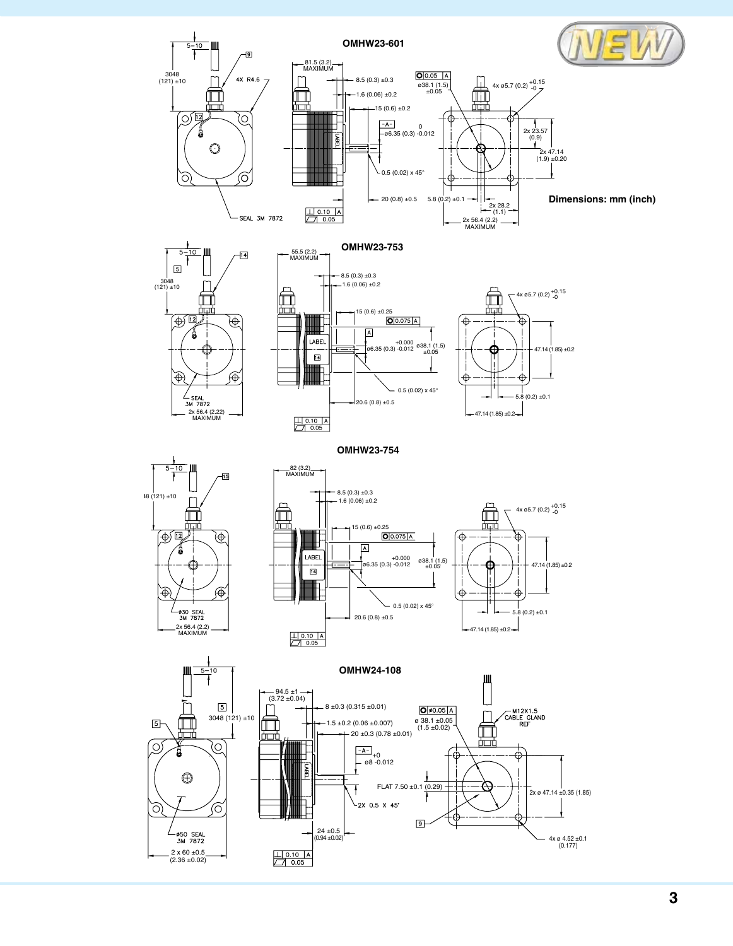